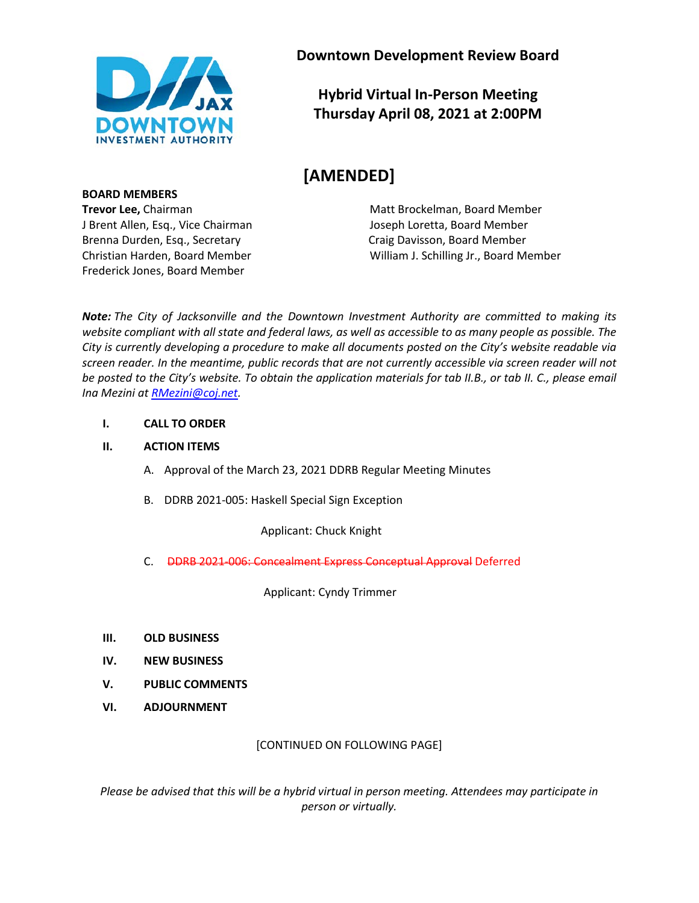

**Downtown Development Review Board**

**Hybrid Virtual In-Person Meeting Thursday April 08, 2021 at 2:00PM**

# **[AMENDED]**

**Trevor Lee, Chairman Matt Brockelman, Board Member** Matt Brockelman, Board Member Christian Harden, Board Member William J. Schilling Jr., Board Member

*Note: The City of Jacksonville and the Downtown Investment Authority are committed to making its website compliant with all state and federal laws, as well as accessible to as many people as possible. The City is currently developing a procedure to make all documents posted on the City's website readable via screen reader. In the meantime, public records that are not currently accessible via screen reader will not be posted to the City's website. To obtain the application materials for tab II.B., or tab II. C., please email Ina Mezini a[t RMezini@coj.net.](mailto:RMezini@coj.net)*

#### **I. CALL TO ORDER**

#### **II. ACTION ITEMS**

- A. Approval of the March 23, 2021 DDRB Regular Meeting Minutes
- B. DDRB 2021-005: Haskell Special Sign Exception

Applicant: Chuck Knight

C. DDRB 2021-006: Concealment Express Conceptual Approval Deferred

Applicant: Cyndy Trimmer

- **III. OLD BUSINESS**
- **IV. NEW BUSINESS**
- **V. PUBLIC COMMENTS**
- **VI. ADJOURNMENT**

# [CONTINUED ON FOLLOWING PAGE]

*Please be advised that this will be a hybrid virtual in person meeting. Attendees may participate in person or virtually.*

**BOARD MEMBERS** J Brent Allen, Esq., Vice Chairman Joseph Loretta, Board Member Brenna Durden, Esq., Secretary **Craig Davisson, Board Member** Craig Davisson, Board Member Frederick Jones, Board Member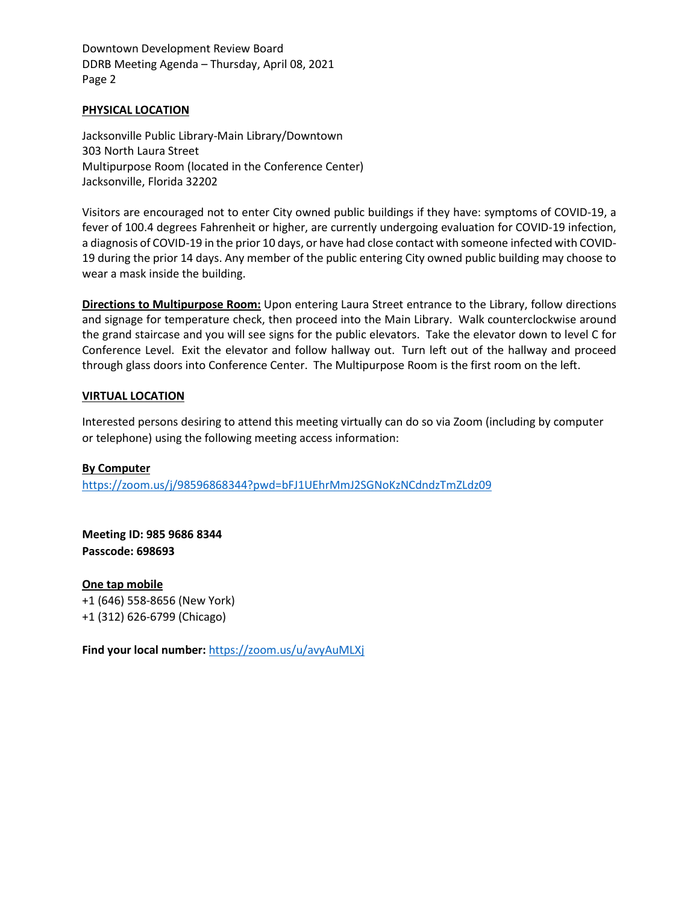Downtown Development Review Board DDRB Meeting Agenda – Thursday, April 08, 2021 Page 2

#### **PHYSICAL LOCATION**

Jacksonville Public Library-Main Library/Downtown 303 North Laura Street Multipurpose Room (located in the Conference Center) Jacksonville, Florida 32202

Visitors are encouraged not to enter City owned public buildings if they have: symptoms of COVID-19, a fever of 100.4 degrees Fahrenheit or higher, are currently undergoing evaluation for COVID-19 infection, a diagnosis of COVID-19 in the prior 10 days, or have had close contact with someone infected with COVID-19 during the prior 14 days. Any member of the public entering City owned public building may choose to wear a mask inside the building.

**Directions to Multipurpose Room:** Upon entering Laura Street entrance to the Library, follow directions and signage for temperature check, then proceed into the Main Library. Walk counterclockwise around the grand staircase and you will see signs for the public elevators. Take the elevator down to level C for Conference Level. Exit the elevator and follow hallway out. Turn left out of the hallway and proceed through glass doors into Conference Center. The Multipurpose Room is the first room on the left.

#### **VIRTUAL LOCATION**

Interested persons desiring to attend this meeting virtually can do so via Zoom (including by computer or telephone) using the following meeting access information:

#### **By Computer**

<https://zoom.us/j/98596868344?pwd=bFJ1UEhrMmJ2SGNoKzNCdndzTmZLdz09>

**Meeting ID: 985 9686 8344 Passcode: 698693**

**One tap mobile** +1 (646) 558-8656 (New York) +1 (312) 626-6799 (Chicago)

**Find your local number:** <https://zoom.us/u/avyAuMLXj>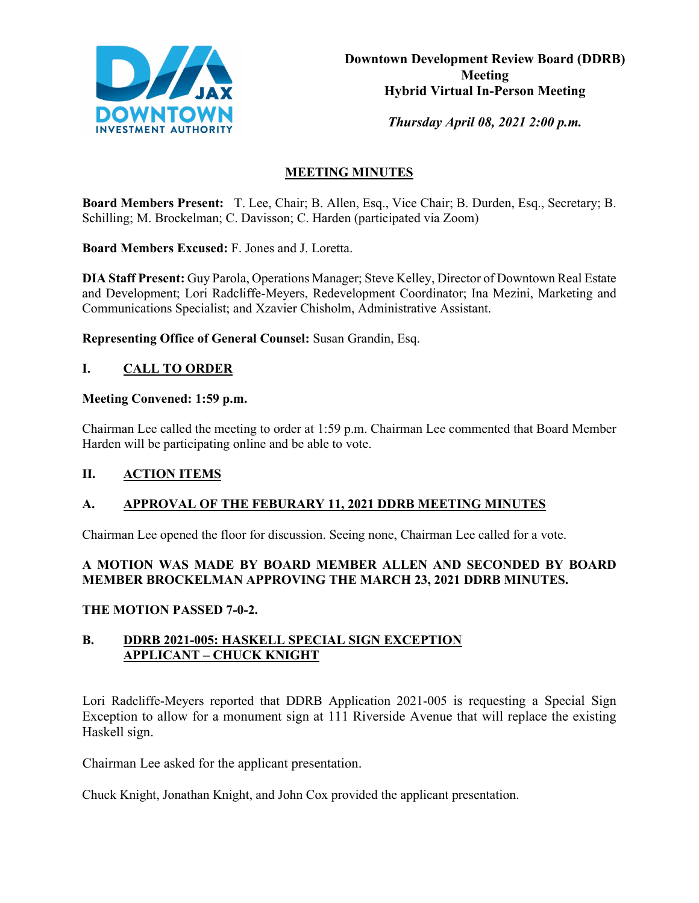

*Thursday April 08, 2021 2:00 p.m.* 

# **MEETING MINUTES**

**Board Members Present:** T. Lee, Chair; B. Allen, Esq., Vice Chair; B. Durden, Esq., Secretary; B. Schilling; M. Brockelman; C. Davisson; C. Harden (participated via Zoom)

**Board Members Excused:** F. Jones and J. Loretta.

**DIA Staff Present:** Guy Parola, Operations Manager; Steve Kelley, Director of Downtown Real Estate and Development; Lori Radcliffe-Meyers, Redevelopment Coordinator; Ina Mezini, Marketing and Communications Specialist; and Xzavier Chisholm, Administrative Assistant.

**Representing Office of General Counsel:** Susan Grandin, Esq.

# **I. CALL TO ORDER**

# **Meeting Convened: 1:59 p.m.**

Chairman Lee called the meeting to order at 1:59 p.m. Chairman Lee commented that Board Member Harden will be participating online and be able to vote.

# **II. ACTION ITEMS**

# **A. APPROVAL OF THE FEBURARY 11, 2021 DDRB MEETING MINUTES**

Chairman Lee opened the floor for discussion. Seeing none, Chairman Lee called for a vote.

# **A MOTION WAS MADE BY BOARD MEMBER ALLEN AND SECONDED BY BOARD MEMBER BROCKELMAN APPROVING THE MARCH 23, 2021 DDRB MINUTES.**

# **THE MOTION PASSED 7-0-2.**

# **B. DDRB 2021-005: HASKELL SPECIAL SIGN EXCEPTION APPLICANT – CHUCK KNIGHT**

Lori Radcliffe-Meyers reported that DDRB Application 2021-005 is requesting a Special Sign Exception to allow for a monument sign at 111 Riverside Avenue that will replace the existing Haskell sign.

Chairman Lee asked for the applicant presentation.

Chuck Knight, Jonathan Knight, and John Cox provided the applicant presentation.